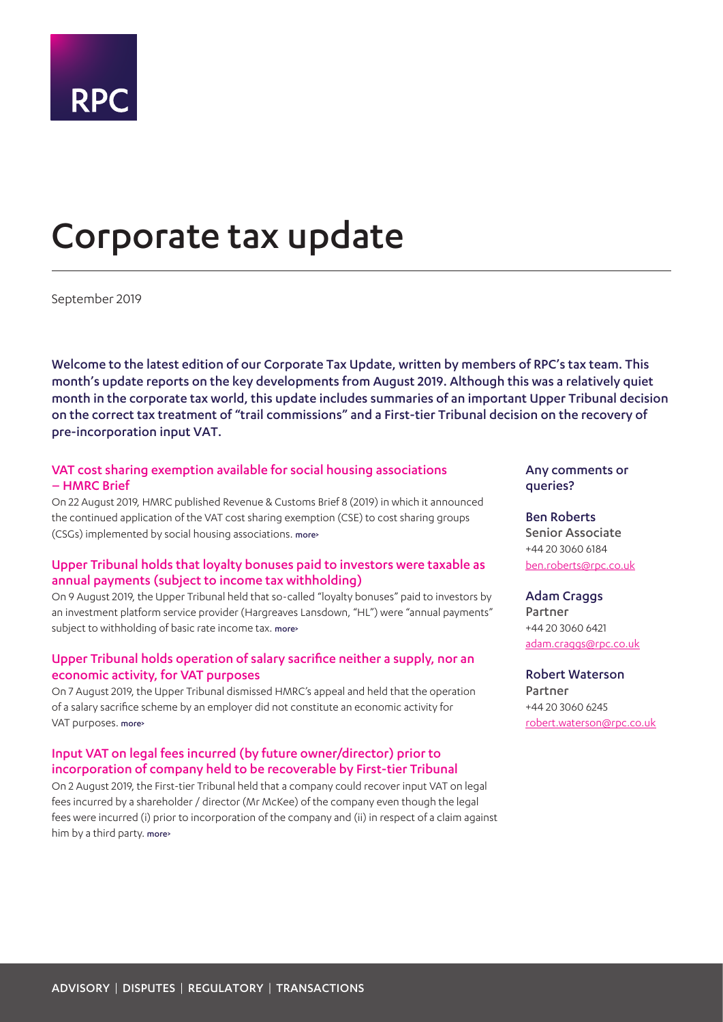

# <span id="page-0-0"></span>Corporate tax update

September 2019

Welcome to the latest edition of our Corporate Tax Update, written by members of RPC's tax team. This month's update reports on the key developments from August 2019. Although this was a relatively quiet month in the corporate tax world, this update includes summaries of an important Upper Tribunal decision on the correct tax treatment of "trail commissions" and a First-tier Tribunal decision on the recovery of pre-incorporation input VAT.

# VAT cost sharing exemption available for social housing associations – HMRC Brief

On 22 August 2019, HMRC published Revenue & Customs Brief 8 (2019) in which it announced the continued application of the VAT cost sharing exemption (CSE) to cost sharing groups (CSGs) implemented by social housing associations. [more>](#page-1-0)

# Upper Tribunal holds that loyalty bonuses paid to investors were taxable as annual payments (subject to income tax withholding)

On 9 August 2019, the Upper Tribunal held that so-called "loyalty bonuses" paid to investors by an investment platform service provider (Hargreaves Lansdown, "HL") were "annual payments" subject to withholding of basic rate income tax. [more>](#page-1-1)

# Upper Tribunal holds operation of salary sacrifice neither a supply, nor an economic activity, for VAT purposes

On 7 August 2019, the Upper Tribunal dismissed HMRC's appeal and held that the operation of a salary sacrifice scheme by an employer did not constitute an economic activity for VAT purposes. [more>](#page-3-0)

# Input VAT on legal fees incurred (by future owner/director) prior to incorporation of company held to be recoverable by First-tier Tribunal

On 2 August 2019, the First-tier Tribunal held that a company could recover input VAT on legal fees incurred by a shareholder / director (Mr McKee) of the company even though the legal fees were incurred (i) prior to incorporation of the company and (ii) in respect of a claim against him by a third party. [more>](#page-4-0)

### Any comments or queries?

Ben Roberts Senior Associate +44 20 3060 6184 [ben.roberts@rpc.co.uk](mailto:ben.roberts%40rpc.co.uk?subject=)

Adam Craggs Partner +44 20 3060 6421 [adam.craggs@rpc.co.uk](mailto:adam.craggs%40rpc.co.uk?subject=)

Robert Waterson Partner +44 20 3060 6245 [robert.waterson@rpc.co.uk](mailto:robert.waterson%40rpc.co.uk?subject=)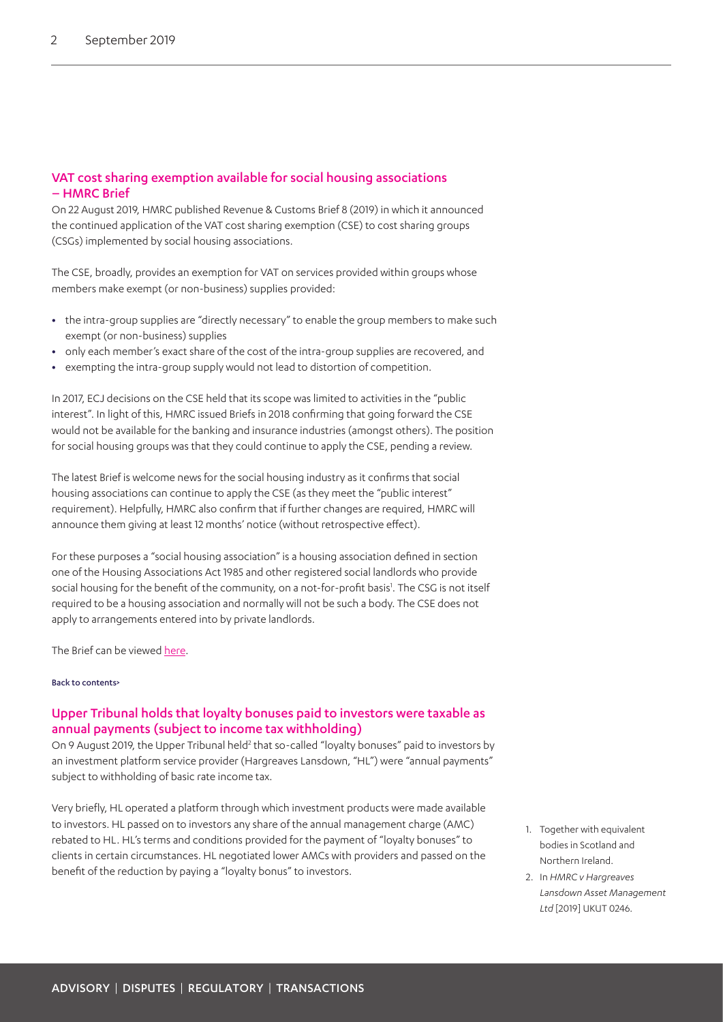# <span id="page-1-0"></span>VAT cost sharing exemption available for social housing associations – HMRC Brief

On 22 August 2019, HMRC published Revenue & Customs Brief 8 (2019) in which it announced the continued application of the VAT cost sharing exemption (CSE) to cost sharing groups (CSGs) implemented by social housing associations.

The CSE, broadly, provides an exemption for VAT on services provided within groups whose members make exempt (or non-business) supplies provided:

- **•** the intra-group supplies are "directly necessary" to enable the group members to make such exempt (or non-business) supplies
- **•** only each member's exact share of the cost of the intra-group supplies are recovered, and
- **•** exempting the intra-group supply would not lead to distortion of competition.

In 2017, ECJ decisions on the CSE held that its scope was limited to activities in the "public interest". In light of this, HMRC issued Briefs in 2018 confirming that going forward the CSE would not be available for the banking and insurance industries (amongst others). The position for social housing groups was that they could continue to apply the CSE, pending a review.

The latest Brief is welcome news for the social housing industry as it confirms that social housing associations can continue to apply the CSE (as they meet the "public interest" requirement). Helpfully, HMRC also confirm that if further changes are required, HMRC will announce them giving at least 12 months' notice (without retrospective effect).

For these purposes a "social housing association" is a housing association defined in section one of the Housing Associations Act 1985 and other registered social landlords who provide social housing for the benefit of the community, on a not-for-profit basis<sup>[1](#page-1-2)</sup>. The CSG is not itself required to be a housing association and normally will not be such a body. The CSE does not apply to arrangements entered into by private landlords.

The Brief can be viewed [here.](https://www.gov.uk/government/publications/revenue-and-customs-brief-8-2019-review-of-the-vat-exemption-for-cost-sharing-groups-in-the-social-housing-sector)

<span id="page-1-1"></span>[Back to contents>](#page-0-0)

# Upper Tribunal holds that loyalty bonuses paid to investors were taxable as annual payments (subject to income tax withholding)

On 9 August 2019, the Upper Tribunal held<sup>2</sup> that so-called "loyalty bonuses" paid to investors by an investment platform service provider (Hargreaves Lansdown, "HL") were "annual payments" subject to withholding of basic rate income tax.

Very briefly, HL operated a platform through which investment products were made available to investors. HL passed on to investors any share of the annual management charge (AMC) rebated to HL. HL's terms and conditions provided for the payment of "loyalty bonuses" to clients in certain circumstances. HL negotiated lower AMCs with providers and passed on the benefit of the reduction by paying a "loyalty bonus" to investors.

- <span id="page-1-2"></span>1. Together with equivalent bodies in Scotland and Northern Ireland.
- <span id="page-1-3"></span>2. In *HMRC v Hargreaves Lansdown Asset Management Ltd* [2019] UKUT 0246.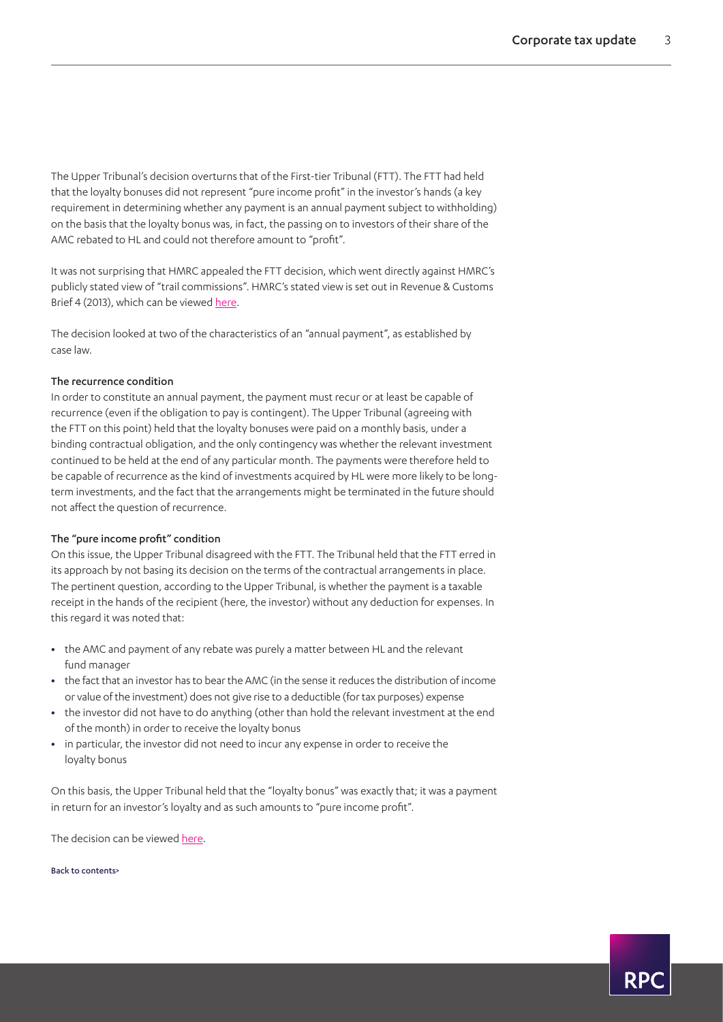The Upper Tribunal's decision overturns that of the First-tier Tribunal (FTT). The FTT had held that the loyalty bonuses did not represent "pure income profit" in the investor's hands (a key requirement in determining whether any payment is an annual payment subject to withholding) on the basis that the loyalty bonus was, in fact, the passing on to investors of their share of the AMC rebated to HL and could not therefore amount to "profit".

It was not surprising that HMRC appealed the FTT decision, which went directly against HMRC's publicly stated view of "trail commissions". HMRC's stated view is set out in Revenue & Customs Brief 4 (2013), which can be viewed [here.](https://www.gov.uk/government/publications/revenue-and-customs-brief-4-2013-payments-of-trail-commission)

The decision looked at two of the characteristics of an "annual payment", as established by case law.

#### The recurrence condition

In order to constitute an annual payment, the payment must recur or at least be capable of recurrence (even if the obligation to pay is contingent). The Upper Tribunal (agreeing with the FTT on this point) held that the loyalty bonuses were paid on a monthly basis, under a binding contractual obligation, and the only contingency was whether the relevant investment continued to be held at the end of any particular month. The payments were therefore held to be capable of recurrence as the kind of investments acquired by HL were more likely to be longterm investments, and the fact that the arrangements might be terminated in the future should not affect the question of recurrence.

#### The "pure income profit" condition

On this issue, the Upper Tribunal disagreed with the FTT. The Tribunal held that the FTT erred in its approach by not basing its decision on the terms of the contractual arrangements in place. The pertinent question, according to the Upper Tribunal, is whether the payment is a taxable receipt in the hands of the recipient (here, the investor) without any deduction for expenses. In this regard it was noted that:

- **•** the AMC and payment of any rebate was purely a matter between HL and the relevant fund manager
- **•** the fact that an investor has to bear the AMC (in the sense it reduces the distribution of income or value of the investment) does not give rise to a deductible (for tax purposes) expense
- **•** the investor did not have to do anything (other than hold the relevant investment at the end of the month) in order to receive the loyalty bonus
- **•** in particular, the investor did not need to incur any expense in order to receive the loyalty bonus

On this basis, the Upper Tribunal held that the "loyalty bonus" was exactly that; it was a payment in return for an investor's loyalty and as such amounts to "pure income profit".

The decision can be viewed [here](https://www.gov.uk/tax-and-chancery-tribunal-decisions/the-commissioners-for-hm-revenue-and-customs-v-hargreaves-lansdown-asset-management-ltd-2019-ukut-0246-tcc).

[Back to contents>](#page-0-0)

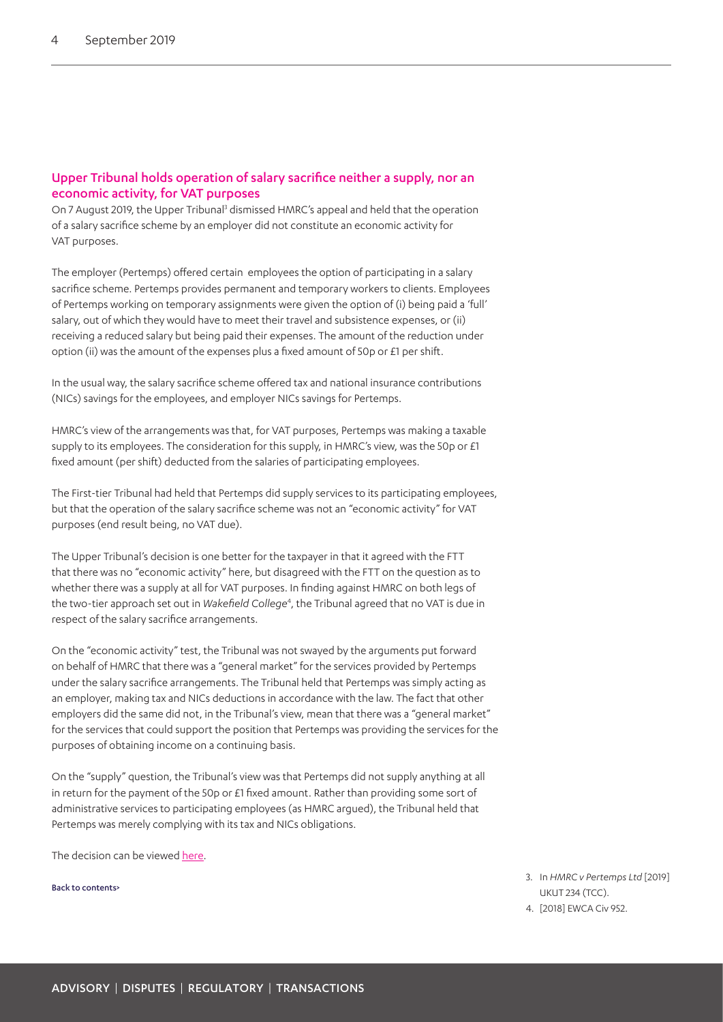# <span id="page-3-0"></span>Upper Tribunal holds operation of salary sacrifice neither a supply, nor an economic activity, for VAT purposes

On 7 August 2019, the Upper Tribunal<sup>[3](#page-3-1)</sup> dismissed HMRC's appeal and held that the operation of a salary sacrifice scheme by an employer did not constitute an economic activity for VAT purposes.

The employer (Pertemps) offered certain employees the option of participating in a salary sacrifice scheme. Pertemps provides permanent and temporary workers to clients. Employees of Pertemps working on temporary assignments were given the option of (i) being paid a 'full' salary, out of which they would have to meet their travel and subsistence expenses, or (ii) receiving a reduced salary but being paid their expenses. The amount of the reduction under option (ii) was the amount of the expenses plus a fixed amount of 50p or £1 per shift.

In the usual way, the salary sacrifice scheme offered tax and national insurance contributions (NICs) savings for the employees, and employer NICs savings for Pertemps.

HMRC's view of the arrangements was that, for VAT purposes, Pertemps was making a taxable supply to its employees. The consideration for this supply, in HMRC's view, was the 50p or £1 fixed amount (per shift) deducted from the salaries of participating employees.

The First-tier Tribunal had held that Pertemps did supply services to its participating employees, but that the operation of the salary sacrifice scheme was not an "economic activity" for VAT purposes (end result being, no VAT due).

The Upper Tribunal's decision is one better for the taxpayer in that it agreed with the FTT that there was no "economic activity" here, but disagreed with the FTT on the question as to whether there was a supply at all for VAT purposes. In finding against HMRC on both legs of the two-tier approach set out in *Wakefield College*[4](#page-3-2) , the Tribunal agreed that no VAT is due in respect of the salary sacrifice arrangements.

On the "economic activity" test, the Tribunal was not swayed by the arguments put forward on behalf of HMRC that there was a "general market" for the services provided by Pertemps under the salary sacrifice arrangements. The Tribunal held that Pertemps was simply acting as an employer, making tax and NICs deductions in accordance with the law. The fact that other employers did the same did not, in the Tribunal's view, mean that there was a "general market" for the services that could support the position that Pertemps was providing the services for the purposes of obtaining income on a continuing basis.

On the "supply" question, the Tribunal's view was that Pertemps did not supply anything at all in return for the payment of the 50p or £1 fixed amount. Rather than providing some sort of administrative services to participating employees (as HMRC argued), the Tribunal held that Pertemps was merely complying with its tax and NICs obligations.

The decision can be viewed [here.](https://www.bailii.org/uk/cases/UKUT/TCC/2019/234.html)

[Back to contents>](#page-0-0)

- <span id="page-3-1"></span>3. In *HMRC v Pertemps Ltd* [2019] UKUT 234 (TCC).
- <span id="page-3-2"></span>4. [2018] EWCA Civ 952.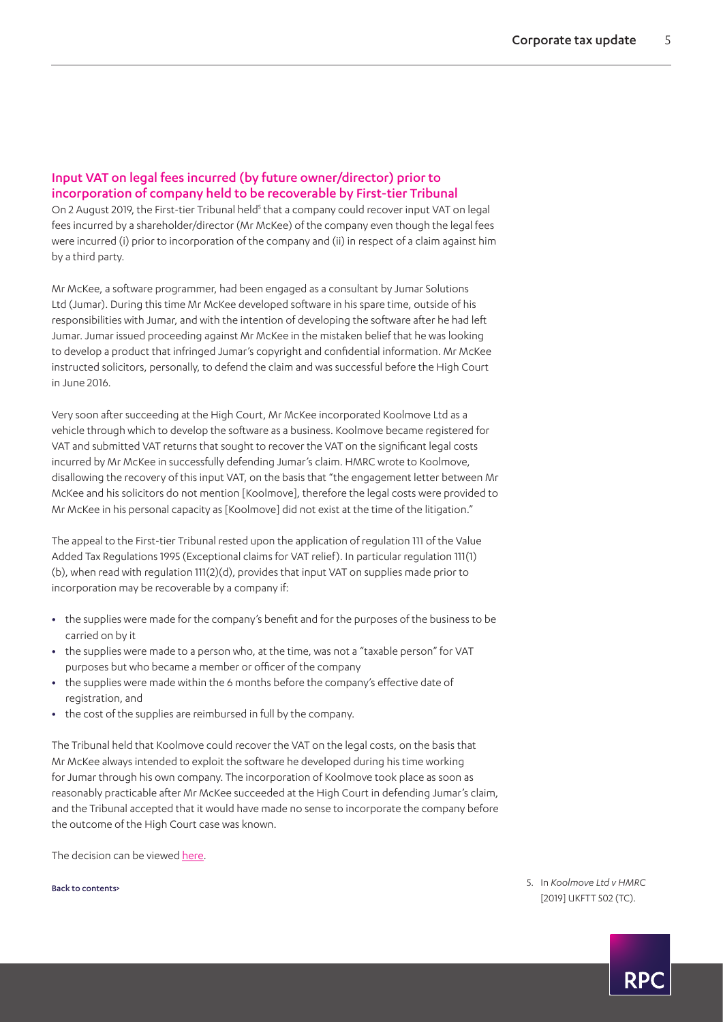# <span id="page-4-0"></span>Input VAT on legal fees incurred (by future owner/director) prior to incorporation of company held to be recoverable by First-tier Tribunal

On 2 August 2019, the First-tier Tribunal held<sup>[5](#page-4-1)</sup> that a company could recover input VAT on legal fees incurred by a shareholder/director (Mr McKee) of the company even though the legal fees were incurred (i) prior to incorporation of the company and (ii) in respect of a claim against him by a third party.

Mr McKee, a software programmer, had been engaged as a consultant by Jumar Solutions Ltd (Jumar). During this time Mr McKee developed software in his spare time, outside of his responsibilities with Jumar, and with the intention of developing the software after he had left Jumar. Jumar issued proceeding against Mr McKee in the mistaken belief that he was looking to develop a product that infringed Jumar's copyright and confidential information. Mr McKee instructed solicitors, personally, to defend the claim and was successful before the High Court in June 2016.

Very soon after succeeding at the High Court, Mr McKee incorporated Koolmove Ltd as a vehicle through which to develop the software as a business. Koolmove became registered for VAT and submitted VAT returns that sought to recover the VAT on the significant legal costs incurred by Mr McKee in successfully defending Jumar's claim. HMRC wrote to Koolmove, disallowing the recovery of this input VAT, on the basis that "the engagement letter between Mr McKee and his solicitors do not mention [Koolmove], therefore the legal costs were provided to Mr McKee in his personal capacity as [Koolmove] did not exist at the time of the litigation."

The appeal to the First-tier Tribunal rested upon the application of regulation 111 of the Value Added Tax Regulations 1995 (Exceptional claims for VAT relief). In particular regulation 111(1) (b), when read with regulation 111(2)(d), provides that input VAT on supplies made prior to incorporation may be recoverable by a company if:

- **•** the supplies were made for the company's benefit and for the purposes of the business to be carried on by it
- **•** the supplies were made to a person who, at the time, was not a "taxable person" for VAT purposes but who became a member or officer of the company
- **•** the supplies were made within the 6 months before the company's effective date of registration, and
- **•** the cost of the supplies are reimbursed in full by the company.

The Tribunal held that Koolmove could recover the VAT on the legal costs, on the basis that Mr McKee always intended to exploit the software he developed during his time working for Jumar through his own company. The incorporation of Koolmove took place as soon as reasonably practicable after Mr McKee succeeded at the High Court in defending Jumar's claim, and the Tribunal accepted that it would have made no sense to incorporate the company before the outcome of the High Court case was known.

The decision can be viewed [here.](https://www.bailii.org/uk/cases/UKFTT/TC/2019/TC07305.pdf)

[Back to contents>](#page-0-0) **Back to contents>** 5. In *Koolmove Ltd v HMRC* [2019] UKFTT 502 (TC).

<span id="page-4-1"></span>